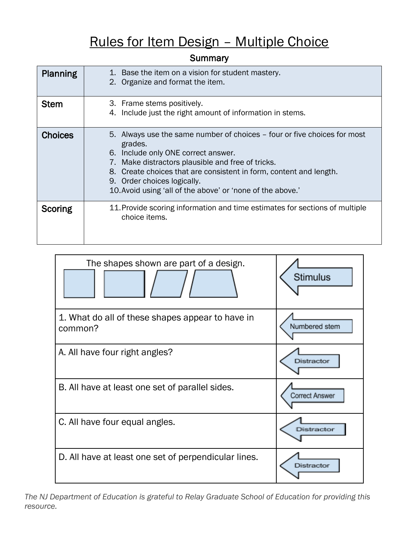## Rules for Item Design – Multiple Choice

#### **Summary**

| Planning       | 1. Base the item on a vision for student mastery.<br>2. Organize and format the item.                                                                                                                                                                                                                                                              |
|----------------|----------------------------------------------------------------------------------------------------------------------------------------------------------------------------------------------------------------------------------------------------------------------------------------------------------------------------------------------------|
| <b>Stem</b>    | 3. Frame stems positively.<br>4. Include just the right amount of information in stems.                                                                                                                                                                                                                                                            |
| <b>Choices</b> | 5. Always use the same number of choices – four or five choices for most<br>grades.<br>6. Include only ONE correct answer.<br>7. Make distractors plausible and free of tricks.<br>8. Create choices that are consistent in form, content and length.<br>9. Order choices logically.<br>10. Avoid using 'all of the above' or 'none of the above.' |
| Scoring        | 11. Provide scoring information and time estimates for sections of multiple<br>choice items.                                                                                                                                                                                                                                                       |

| The shapes shown are part of a design.                      | <b>Stimulus</b> |
|-------------------------------------------------------------|-----------------|
| 1. What do all of these shapes appear to have in<br>common? | Numbered stem   |
| A. All have four right angles?                              | Distractor      |
| B. All have at least one set of parallel sides.             | Correct Answer  |
| C. All have four equal angles.                              | Distractor      |
| D. All have at least one set of perpendicular lines.        | Distractor      |

*The NJ Department of Education is grateful to Relay Graduate School of Education for providing this resource.*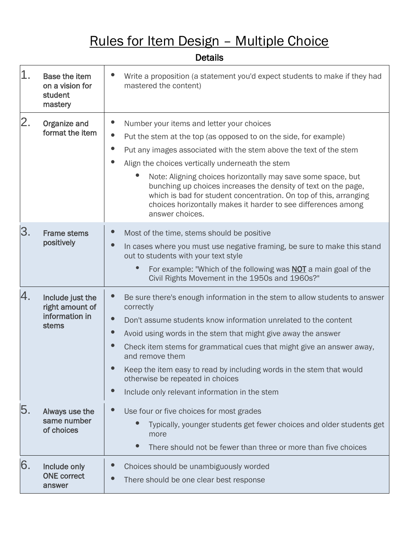# Rules for Item Design – Multiple Choice

| 1. | <b>Base the item</b><br>on a vision for<br>student<br>mastery  | Write a proposition (a statement you'd expect students to make if they had<br>mastered the content)                                                                                                                                                                                                                                                                                                                                                                                                                                                          |
|----|----------------------------------------------------------------|--------------------------------------------------------------------------------------------------------------------------------------------------------------------------------------------------------------------------------------------------------------------------------------------------------------------------------------------------------------------------------------------------------------------------------------------------------------------------------------------------------------------------------------------------------------|
| 2. | Organize and<br>format the item                                | Number your items and letter your choices<br>$\bullet$<br>Put the stem at the top (as opposed to on the side, for example)<br>$\bullet$<br>Put any images associated with the stem above the text of the stem<br>Align the choices vertically underneath the stem<br>Note: Aligning choices horizontally may save some space, but<br>bunching up choices increases the density of text on the page,<br>which is bad for student concentration. On top of this, arranging<br>choices horizontally makes it harder to see differences among<br>answer choices. |
| 3. | <b>Frame stems</b><br>positively                               | Most of the time, stems should be positive<br>In cases where you must use negative framing, be sure to make this stand<br>out to students with your text style<br>For example: "Which of the following was <b>NOT</b> a main goal of the<br>Civil Rights Movement in the 1950s and 1960s?"                                                                                                                                                                                                                                                                   |
| 4. | Include just the<br>right amount of<br>information in<br>stems | $\bullet$<br>Be sure there's enough information in the stem to allow students to answer<br>correctly<br>Don't assume students know information unrelated to the content<br>$\bullet$<br>Avoid using words in the stem that might give away the answer<br>Check item stems for grammatical cues that might give an answer away,<br>and remove them<br>Keep the item easy to read by including words in the stem that would<br>otherwise be repeated in choices<br>$\bullet$<br>Include only relevant information in the stem                                  |
| 5. | Always use the<br>same number<br>of choices                    | Use four or five choices for most grades<br>Typically, younger students get fewer choices and older students get<br>more<br>There should not be fewer than three or more than five choices                                                                                                                                                                                                                                                                                                                                                                   |
| 6. | Include only<br><b>ONE</b> correct<br>answer                   | Choices should be unambiguously worded<br>There should be one clear best response                                                                                                                                                                                                                                                                                                                                                                                                                                                                            |

Details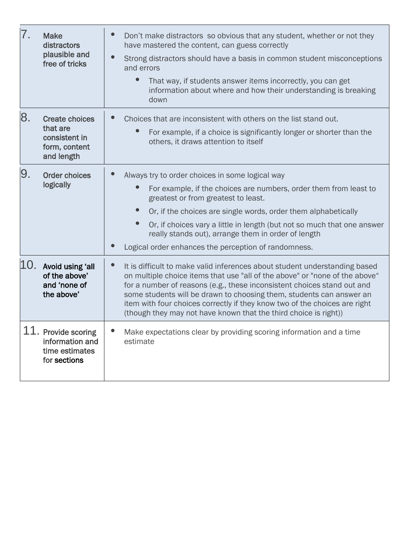| 7.  | <b>Make</b><br>distractors<br>plausible and<br>free of tricks                     | Don't make distractors so obvious that any student, whether or not they<br>have mastered the content, can guess correctly<br>Strong distractors should have a basis in common student misconceptions<br>and errors<br>That way, if students answer items incorrectly, you can get<br>information about where and how their understanding is breaking<br>down                                                                                                   |
|-----|-----------------------------------------------------------------------------------|----------------------------------------------------------------------------------------------------------------------------------------------------------------------------------------------------------------------------------------------------------------------------------------------------------------------------------------------------------------------------------------------------------------------------------------------------------------|
| 8.  | <b>Create choices</b><br>that are<br>consistent in<br>form, content<br>and length | Choices that are inconsistent with others on the list stand out.<br>For example, if a choice is significantly longer or shorter than the<br>others, it draws attention to itself                                                                                                                                                                                                                                                                               |
| 9.  | <b>Order choices</b><br>logically                                                 | Always try to order choices in some logical way<br>For example, if the choices are numbers, order them from least to<br>greatest or from greatest to least.<br>Or, if the choices are single words, order them alphabetically<br>Or, if choices vary a little in length (but not so much that one answer<br>really stands out), arrange them in order of length<br>Logical order enhances the perception of randomness.                                        |
| 10. | Avoid using 'all<br>of the above'<br>and 'none of<br>the above'                   | It is difficult to make valid inferences about student understanding based<br>on multiple choice items that use "all of the above" or "none of the above"<br>for a number of reasons (e.g., these inconsistent choices stand out and<br>some students will be drawn to choosing them, students can answer an<br>item with four choices correctly if they know two of the choices are right<br>(though they may not have known that the third choice is right)) |
|     | 11. Provide scoring<br>information and<br>time estimates<br>for sections          | Make expectations clear by providing scoring information and a time<br>estimate                                                                                                                                                                                                                                                                                                                                                                                |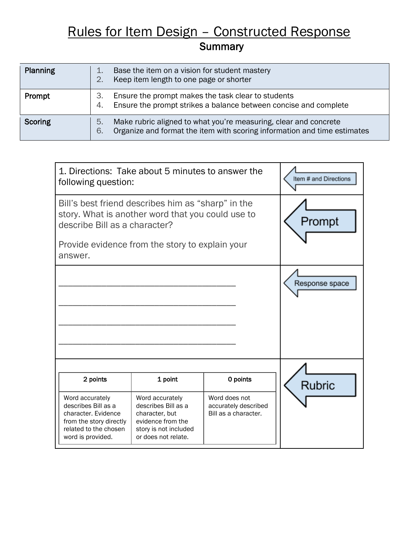### **Summary** Rules for Item Design – Constructed Response

| Planning       | Base the item on a vision for student mastery<br>Keep item length to one page or shorter                                                                 |
|----------------|----------------------------------------------------------------------------------------------------------------------------------------------------------|
| Prompt         | Ensure the prompt makes the task clear to students<br>3.<br>Ensure the prompt strikes a balance between concise and complete<br>4.                       |
| <b>Scoring</b> | Make rubric aligned to what you're measuring, clear and concrete<br>5.<br>Organize and format the item with scoring information and time estimates<br>6. |

| 1. Directions: Take about 5 minutes to answer the<br>following question:                                                                 |                                                                                                                               |                                                               | Item # and Directions |
|------------------------------------------------------------------------------------------------------------------------------------------|-------------------------------------------------------------------------------------------------------------------------------|---------------------------------------------------------------|-----------------------|
| Bill's best friend describes him as "sharp" in the<br>story. What is another word that you could use to<br>describe Bill as a character? |                                                                                                                               |                                                               | Prompt                |
| Provide evidence from the story to explain your<br>answer.                                                                               |                                                                                                                               |                                                               |                       |
|                                                                                                                                          |                                                                                                                               |                                                               | Response space        |
| 2 points                                                                                                                                 | 1 point                                                                                                                       | 0 points                                                      | <b>Rubric</b>         |
| Word accurately<br>describes Bill as a<br>character. Evidence<br>from the story directly<br>related to the chosen<br>word is provided.   | Word accurately<br>describes Bill as a<br>character, but<br>evidence from the<br>story is not included<br>or does not relate. | Word does not<br>accurately described<br>Bill as a character. |                       |